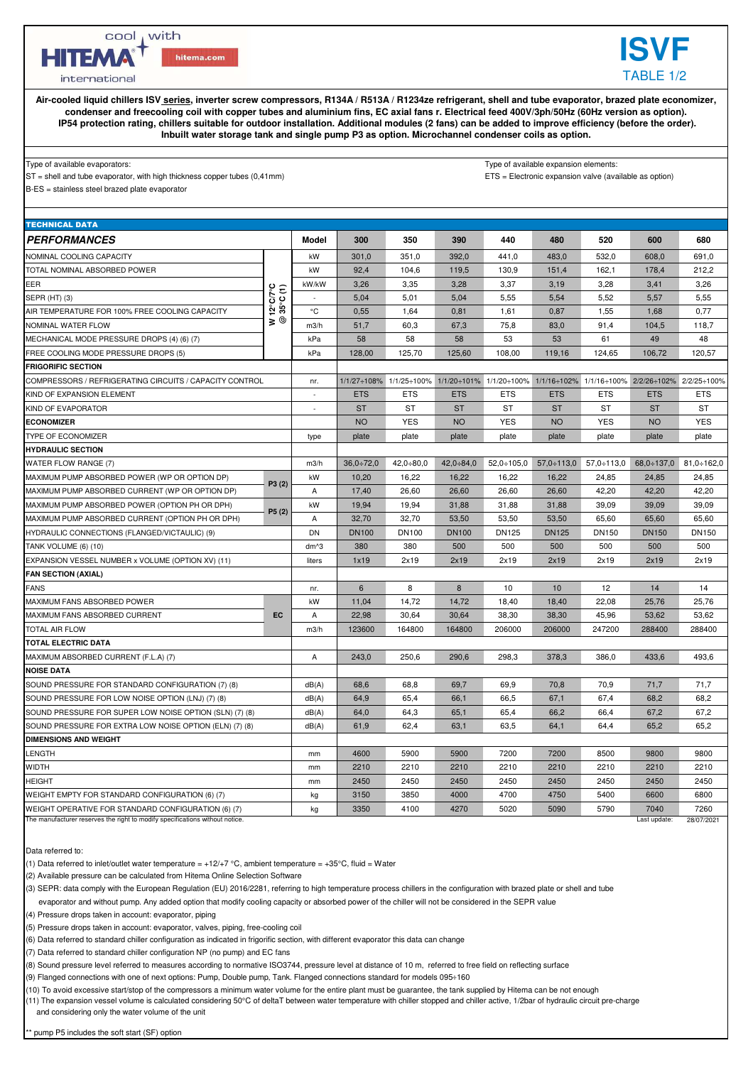cool , with

hitema.com

**HITEMA** 

international

**Air-cooled liquid chillers ISV series, inverter screw compressors, R134A / R513A / R1234ze refrigerant, shell and tube evaporator, brazed plate economizer, condenser and freecooling coil with copper tubes and aluminium fins, EC axial fans r. Electrical feed 400V/3ph/50Hz (60Hz version as option). IP54 protection rating, chillers suitable for outdoor installation. Additional modules (2 fans) can be added to improve efficiency (before the order). Inbuilt water storage tank and single pump P3 as option. Microchannel condenser coils as option.**

## Type of available evaporators: Type of available expansion elements:

ST = shell and tube evaporator, with high thickness copper tubes (0,41mm) expansion valve (available as option)

**ISVF** TABLE 1/2

B-ES = stainless steel brazed plate evaporator

| <b>TECHNICAL DATA</b>                                                        |                                               |                          |              |              |              |                                                                                                 |                   |              |                                     |              |
|------------------------------------------------------------------------------|-----------------------------------------------|--------------------------|--------------|--------------|--------------|-------------------------------------------------------------------------------------------------|-------------------|--------------|-------------------------------------|--------------|
| <b>PERFORMANCES</b>                                                          |                                               | Model                    | 300          | 350          | 390          | 440                                                                                             | 480               | 520          | 600                                 | 680          |
| NOMINAL COOLING CAPACITY                                                     |                                               | kW                       | 301,0        | 351,0        | 392,0        | 441,0                                                                                           | 483,0             | 532,0        | 608,0                               | 691,0        |
| TOTAL NOMINAL ABSORBED POWER                                                 |                                               | kW                       | 92,4         | 104,6        | 119,5        | 130,9                                                                                           | 151,4             | 162,1        | 178,4                               | 212,2        |
| EER                                                                          |                                               | kW/kW                    | 3,26         | 3,35         | 3,28         | 3,37                                                                                            | 3,19              | 3,28         | 3,41                                | 3,26         |
| SEPR (HT) (3)                                                                | $12^{\circ}$ C/7 $^{\circ}$ C<br>$(1)$<br>≥ ⊚ |                          | 5,04         | 5,01         | 5,04         | 5,55                                                                                            | 5,54              | 5,52         | 5,57                                | 5,55         |
| AIR TEMPERATURE FOR 100% FREE COOLING CAPACITY                               |                                               | °C                       | 0,55         | 1,64         | 0,81         | 1,61                                                                                            | 0,87              | 1,55         | 1,68                                | 0,77         |
| NOMINAL WATER FLOW                                                           |                                               | m3/h                     | 51,7         | 60,3         | 67,3         | 75,8                                                                                            | 83,0              | 91,4         | 104,5                               | 118,7        |
| MECHANICAL MODE PRESSURE DROPS (4) (6) (7)                                   |                                               | kPa                      | 58           | 58           | 58           | 53                                                                                              | 53                | 61           | 49                                  | 48           |
| FREE COOLING MODE PRESSURE DROPS (5)                                         |                                               | kPa                      | 128,00       | 125,70       | 125,60       | 108,00                                                                                          | 119,16            | 124,65       | 106,72                              | 120,57       |
| <b>FRIGORIFIC SECTION</b>                                                    |                                               |                          |              |              |              |                                                                                                 |                   |              |                                     |              |
| COMPRESSORS / REFRIGERATING CIRCUITS / CAPACITY CONTROL                      |                                               | nr.                      |              |              |              | 1/1/27+108% 1/1/25+100% 1/1/20+101% 1/1/20+100% 1/1/16+102% 1/1/16+100% 2/2/26+102% 2/2/25+100% |                   |              |                                     |              |
| KIND OF EXPANSION ELEMENT                                                    |                                               | $\sim$                   | <b>ETS</b>   | <b>ETS</b>   | <b>ETS</b>   | <b>ETS</b>                                                                                      | <b>ETS</b>        | <b>ETS</b>   | <b>ETS</b>                          | <b>ETS</b>   |
| KIND OF EVAPORATOR                                                           |                                               | $\overline{\phantom{a}}$ | <b>ST</b>    | <b>ST</b>    | <b>ST</b>    | <b>ST</b>                                                                                       | <b>ST</b>         | <b>ST</b>    | <b>ST</b>                           | <b>ST</b>    |
| <b>ECONOMIZER</b>                                                            |                                               |                          | <b>NO</b>    | <b>YES</b>   | <b>NO</b>    | <b>YES</b>                                                                                      | <b>NO</b>         | <b>YES</b>   | <b>NO</b>                           | <b>YES</b>   |
| TYPE OF ECONOMIZER                                                           |                                               | type                     | plate        | plate        | plate        | plate                                                                                           | plate             | plate        | plate                               | plate        |
| <b>HYDRAULIC SECTION</b>                                                     |                                               |                          |              |              |              |                                                                                                 |                   |              |                                     |              |
| WATER FLOW RANGE (7)                                                         |                                               | m3/h                     | $36,0+72,0$  | $42,0+80,0$  | 42,0:84,0    | $52,0+105,0$                                                                                    | $57,0 \div 113,0$ |              | $57,0 \div 113,0$ 68,0 $\div 137,0$ | $81,0-162,0$ |
| MAXIMUM PUMP ABSORBED POWER (WP OR OPTION DP)                                | P3(2)                                         | kW                       | 10.20        | 16,22        | 16.22        | 16,22                                                                                           | 16.22             | 24.85        | 24,85                               | 24,85        |
| MAXIMUM PUMP ABSORBED CURRENT (WP OR OPTION DP)                              |                                               | $\overline{A}$           | 17,40        | 26,60        | 26.60        | 26,60                                                                                           | 26,60             | 42,20        | 42.20                               | 42,20        |
| MAXIMUM PUMP ABSORBED POWER (OPTION PH OR DPH)                               | P5(2)                                         | kW                       | 19,94        | 19,94        | 31,88        | 31,88                                                                                           | 31,88             | 39,09        | 39,09                               | 39,09        |
| MAXIMUM PUMP ABSORBED CURRENT (OPTION PH OR DPH)                             |                                               | A                        | 32,70        | 32,70        | 53,50        | 53,50                                                                                           | 53,50             | 65,60        | 65,60                               | 65,60        |
| HYDRAULIC CONNECTIONS (FLANGED/VICTAULIC) (9)                                |                                               | <b>DN</b>                | <b>DN100</b> | <b>DN100</b> | <b>DN100</b> | <b>DN125</b>                                                                                    | <b>DN125</b>      | <b>DN150</b> | <b>DN150</b>                        | DN150        |
| TANK VOLUME (6) (10)                                                         |                                               | dm <sup>^3</sup>         | 380          | 380          | 500          | 500                                                                                             | 500               | 500          | 500                                 | 500          |
| EXPANSION VESSEL NUMBER x VOLUME (OPTION XV) (11)                            |                                               | liters                   | 1x19         | 2x19         | 2x19         | 2x19                                                                                            | 2x19              | 2x19         | 2x19                                | 2x19         |
| <b>FAN SECTION (AXIAL)</b>                                                   |                                               |                          |              |              |              |                                                                                                 |                   |              |                                     |              |
| <b>FANS</b>                                                                  |                                               | nr.                      | 6            | 8            | 8            | 10                                                                                              | 10                | 12           | 14                                  | 14           |
| MAXIMUM FANS ABSORBED POWER                                                  | <b>EC</b>                                     | kW                       | 11,04        | 14,72        | 14,72        | 18,40                                                                                           | 18,40             | 22,08        | 25,76                               | 25,76        |
| MAXIMUM FANS ABSORBED CURRENT                                                |                                               | $\overline{A}$           | 22,98        | 30.64        | 30.64        | 38,30                                                                                           | 38,30             | 45,96        | 53.62                               | 53.62        |
| <b>TOTAL AIR FLOW</b>                                                        |                                               | m3/h                     | 123600       | 164800       | 164800       | 206000                                                                                          | 206000            | 247200       | 288400                              | 288400       |
| TOTAL ELECTRIC DATA                                                          |                                               |                          |              |              |              |                                                                                                 |                   |              |                                     |              |
| MAXIMUM ABSORBED CURRENT (F.L.A) (7)                                         |                                               | A                        | 243.0        | 250.6        | 290.6        | 298,3                                                                                           | 378.3             | 386.0        | 433.6                               | 493.6        |
| <b>NOISE DATA</b>                                                            |                                               |                          |              |              |              |                                                                                                 |                   |              |                                     |              |
| SOUND PRESSURE FOR STANDARD CONFIGURATION (7) (8)                            |                                               | dB(A)                    | 68,6         | 68,8         | 69,7         | 69,9                                                                                            | 70,8              | 70,9         | 71,7                                | 71,7         |
| SOUND PRESSURE FOR LOW NOISE OPTION (LNJ) (7) (8)                            |                                               | dB(A)                    | 64,9         | 65,4         | 66,1         | 66,5                                                                                            | 67,1              | 67,4         | 68,2                                | 68,2         |
| SOUND PRESSURE FOR SUPER LOW NOISE OPTION (SLN) (7) (8)                      |                                               | dB(A)                    | 64,0         | 64,3         | 65,1         | 65,4                                                                                            | 66,2              | 66,4         | 67,2                                | 67,2         |
| SOUND PRESSURE FOR EXTRA LOW NOISE OPTION (ELN) (7) (8)                      |                                               | dB(A)                    | 61,9         | 62,4         | 63,1         | 63,5                                                                                            | 64,1              | 64,4         | 65,2                                | 65,2         |
| <b>DIMENSIONS AND WEIGHT</b>                                                 |                                               |                          |              |              |              |                                                                                                 |                   |              |                                     |              |
| <b>LENGTH</b>                                                                |                                               | mm                       | 4600         | 5900         | 5900         | 7200                                                                                            | 7200              | 8500         | 9800                                | 9800         |
| <b>WIDTH</b>                                                                 |                                               | mm                       | 2210         | 2210         | 2210         | 2210                                                                                            | 2210              | 2210         | 2210                                | 2210         |
| <b>HEIGHT</b>                                                                |                                               | mm                       | 2450         | 2450         | 2450         | 2450                                                                                            | 2450              | 2450         | 2450                                | 2450         |
| WEIGHT EMPTY FOR STANDARD CONFIGURATION (6) (7)                              |                                               | kg                       | 3150         | 3850         | 4000         | 4700                                                                                            | 4750              | 5400         | 6600                                | 6800         |
| WEIGHT OPERATIVE FOR STANDARD CONFIGURATION (6) (7)                          |                                               | kg                       | 3350         | 4100         | 4270         | 5020                                                                                            | 5090              | 5790         | 7040                                | 7260         |
| The manufacturer reserves the right to modify specifications without notice. |                                               |                          |              |              |              |                                                                                                 |                   |              | Last update:                        | 28/07/2021   |

Data referred to:

(1) Data referred to inlet/outlet water temperature =  $+12/+7$  °C, ambient temperature =  $+35$ °C, fluid = Water

(2) Available pressure can be calculated from Hitema Online Selection Software

(3) SEPR: data comply with the European Regulation (EU) 2016/2281, referring to high temperature process chillers in the configuration with brazed plate or shell and tube evaporator and without pump. Any added option that modify cooling capacity or absorbed power of the chiller will not be considered in the SEPR value

(4) Pressure drops taken in account: evaporator, piping

(5) Pressure drops taken in account: evaporator, valves, piping, free-cooling coil

(6) Data referred to standard chiller configuration as indicated in frigorific section, with different evaporator this data can change

(7) Data referred to standard chiller configuration NP (no pump) and EC fans

(8) Sound pressure level referred to measures according to normative ISO3744, pressure level at distance of 10 m, referred to free field on reflecting surface

(9) Flanged connections with one of next options: Pump, Double pump, Tank. Flanged connections standard for models 095÷160

(10) To avoid excessive start/stop of the compressors a minimum water volume for the entire plant must be guarantee, the tank supplied by Hitema can be not enough

(11) The expansion vessel volume is calculated considering 50°C of deltaT between water temperature with chiller stopped and chiller active, 1/2bar of hydraulic circuit pre-charge and considering only the water volume of the unit